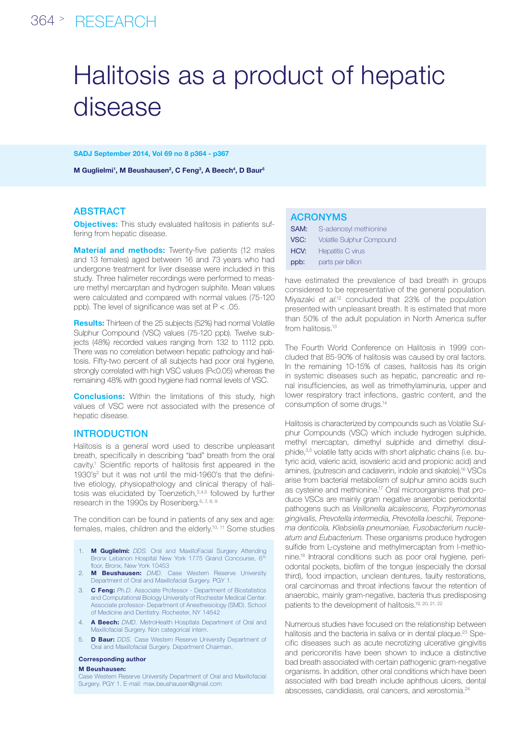## 364 > RESEARCH

# Halitosis as a product of hepatic disease

SADJ September 2014, Vol 69 no 8 p364 - p367

M Guglielmi<sup>1</sup>, M Beushausen<sup>2</sup>, C Feng<sup>3</sup>, A Beech<sup>4</sup>, D Baur<sup>5</sup>

#### **ABSTRACT**

**Objectives:** This study evaluated halitosis in patients suffering from hepatic disease.

**Material and methods:** Twenty-five patients (12 males and 13 females) aged between 16 and 73 years who had undergone treatment for liver disease were included in this study. Three halimeter recordings were performed to measure methyl mercarptan and hydrogen sulphite. Mean values were calculated and compared with normal values (75-120 ppb). The level of significance was set at  $P < .05$ .

Results: Thirteen of the 25 subjects (52%) had normal Volatile Sulphur Compound (VSC) values (75-120 ppb). Twelve subjects (48%) recorded values ranging from 132 to 1112 ppb. There was no correlation between hepatic pathology and halitosis. Fifty-two percent of all subjects had poor oral hygiene, strongly correlated with high VSC values (P<0.05) whereas the remaining 48% with good hygiene had normal levels of VSC.

**Conclusions:** Within the limitations of this study, high values of VSC were not associated with the presence of hepatic disease.

#### INTRODUCTION

Halitosis is a general word used to describe unpleasant breath, specifically in describing "bad" breath from the oral cavity.<sup>1</sup> Scientific reports of halitosis first appeared in the 1930's<sup>2</sup> but it was not until the mid-1960's that the definitive etiology, physiopathology and clinical therapy of halitosis was elucidated by Toenzetich,3,4,5 followed by further research in the 1990s by Rosenberg.<sup>6, 7, 8, 9</sup>

The condition can be found in patients of any sex and age: females, males, children and the elderly.10, 11 Some studies

- 1. M Guglielmi: *DDS.* Oral and MaxilloFacial Surgery Attending Bronx Lebanon Hospital New York 1775 Grand Concourse, 6Th floor, Bronx, New York 10453
- 2. **M Beushausen:** DMD. Case Western Reserve University Department of Oral and Maxillofacial Surgery. PGY 1.
- 3. C Feng: *Ph.D.* Associate Professor Department of Biostatistics and Computational Biology University of Rochester Medical Center. Associate professor- Department of Anesthesiology (SMD). School of Medicine and Dentistry. Rochester, NY 14642
- 4. A Beech: *DMD.* MetroHealth Hospitals Department of Oral and Maxillofacial Surgery. Non categorical intern.
- 5. D Baur: *DDS.* Case Western Reserve University Department of Oral and Maxillofacial Surgery. Department Chairman.

#### Corresponding author

#### M Beushausen:

Case Western Reserve University Department of Oral and Maxillofacial Surgery. PGY 1. E-mail: max.beushausen@gmail.com

| <b>ACRONYMS</b> |                                  |  |  |  |
|-----------------|----------------------------------|--|--|--|
| SAM:            | S-adenosyl methionine            |  |  |  |
| VSC:            | <b>Volatile Sulphur Compound</b> |  |  |  |
| HCV:            | Hepatitis C virus                |  |  |  |
| ppb:            | parts per billion                |  |  |  |

have estimated the prevalence of bad breath in groups considered to be representative of the general population. Miyazaki *et al*. 12 concluded that 23% of the population presented with unpleasant breath. It is estimated that more than 50% of the adult population in North America suffer from halitosis.<sup>13</sup>

The Fourth World Conference on Halitosis in 1999 concluded that 85-90% of halitosis was caused by oral factors. In the remaining 10-15% of cases, halitosis has its origin in systemic diseases such as hepatic, pancreatic and renal insufficiencies, as well as trimethylaminuria, upper and lower respiratory tract infections, gastric content, and the consumption of some drugs.14

Halitosis is characterized by compounds such as Volatile Sulphur Compounds (VSC) which include hydrogen sulphide, methyl mercaptan, dimethyl sulphide and dimethyl disulphide,<sup>3,5</sup> volatile fatty acids with short aliphatic chains (i.e. butyric acid, valeric acid, isovaleric acid and propionic acid) and amines, (putrescin and cadaverin, indole and skatole).16 VSCs arise from bacterial metabolism of sulphur amino acids such as cysteine and methionine.17 Oral microorganisms that produce VSCs are mainly gram negative anaerobic periodontal pathogens such as *Veillonella alcalescens, Porphyromonas gingivalis, Prevotella intermedia, Prevotella loeschii, Treponema denticola, Klebsiella pneumoniae, Fusobacterium nucleatum and Eubacterium*. These organisms produce hydrogen sulfide from L-cysteine and methylmercaptan from l-methionine.18 Intraoral conditions such as poor oral hygiene, periodontal pockets, biofilm of the tongue (especially the dorsal third), food impaction, unclean dentures, faulty restorations, oral carcinomas and throat infections favour the retention of anaerobic, mainly gram-negative, bacteria thus predisposing patients to the development of halitosis.19, 20, 21, 22

Numerous studies have focused on the relationship between halitosis and the bacteria in saliva or in dental plaque.<sup>23</sup> Specific diseases such as acute necrotizing ulcerative gingivitis and pericoronitis have been shown to induce a distinctive bad breath associated with certain pathogenic gram-negative organisms. In addition, other oral conditions which have been associated with bad breath include aphthous ulcers, dental abscesses, candidiasis, oral cancers, and xerostomia.24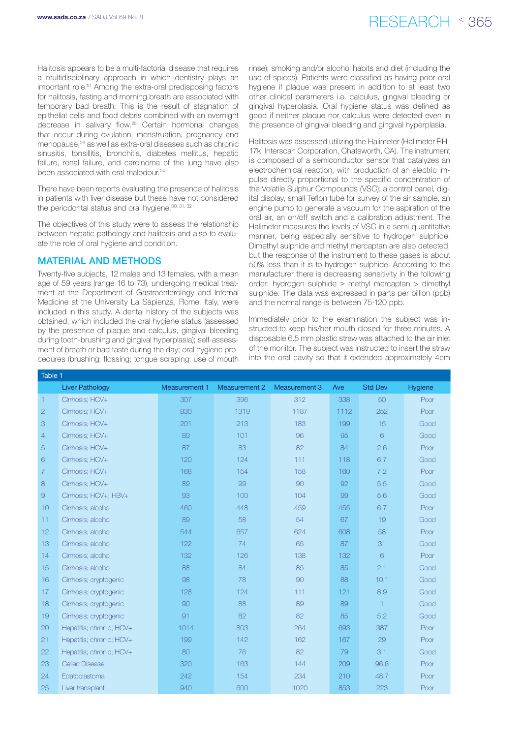# www.sada.co.za / SADJ Vol 69 No. 8  $RFSFARCH \sim 365$

Halitosis appears to be a multi-factorial disease that requires a multidisciplinary approach in which dentistry plays an important role.10 Among the extra-oral predisposing factors for halitosis, fasting and morning breath are associated with temporary bad breath. This is the result of stagnation of epithelial cells and food debris combined with an overnight decrease in salivary flow.25 Certain hormonal changes that occur during ovulation, menstruation, pregnancy and menopause,26 as well as extra-oral diseases such as chronic sinusitis, tonsillitis, bronchitis, diabetes mellitus, hepatic failure, renal failure, and carcinoma of the lung have also been associated with oral malodour.<sup>24</sup>

There have been reports evaluating the presence of halitosis in patients with liver disease but these have not considered the periodontal status and oral hygiene.<sup>30, 31, 32</sup>

The objectives of this study were to assess the relationship between hepatic pathology and halitosis and also to evaluate the role of oral hygiene and condition.

#### Material and Methods

Twenty-five subjects, 12 males and 13 females, with a mean age of 59 years (range 16 to 73), undergoing medical treatment at the Department of Gastroenterology and Internal Medicine at the University La Sapienza, Rome, Italy, were included in this study. A dental history of the subjects was obtained, which included the oral hygiene status (assessed by the presence of plaque and calculus, gingival bleeding during tooth-brushing and gingival hyperplasia); self-assessment of breath or bad taste during the day; oral hygiene procedures (brushing; flossing; tongue scraping, use of mouth rinse); smoking and/or alcohol habits and diet (including the use of spices). Patients were classified as having poor oral hygiene if plaque was present in addition to at least two other clinical parameters i.e. calculus, gingival bleeding or gingival hyperplasia. Oral hygiene status was defined as good if neither plaque nor calculus were detected even in the presence of gingival bleeding and gingival hyperplasia.

Halitosis was assessed utilizing the Halimeter (Halimeter RH-17k, Interscan Corporation, Chatsworth, CA). The instrument is composed of a semiconductor sensor that catalyzes an electrochemical reaction, with production of an electric impulse directly proportional to the specific concentration of the Volatile Sulphur Compounds (VSC); a control panel, digital display, small Teflon tube for survey of the air sample, an engine pump to generate a vacuum for the aspiration of the oral air, an on/off switch and a calibration adjustment. The Halimeter measures the levels of VSC in a semi-quantitative manner, being especially sensitive to hydrogen sulphide. Dimethyl sulphide and methyl mercaptan are also detected, but the response of the instrument to these gases is about 50% less than it is to hydrogen sulphide. According to the manufacturer there is decreasing sensitivity in the following order: hydrogen sulphide > methyl mercaptan > dimethyl sulphide. The data was expressed in parts per billion (ppb) and the normal range is between 75-120 ppb.

Immediately prior to the examination the subject was instructed to keep his/her mouth closed for three minutes. A disposable 6.5 mm plastic straw was attached to the air inlet of the monitor. The subject was instructed to insert the straw into the oral cavity so that it extended approximately 4cm

| Table 1        |                          |                      |                      |                      |      |                |         |
|----------------|--------------------------|----------------------|----------------------|----------------------|------|----------------|---------|
|                | <b>Liver Pathology</b>   | <b>Measurement 1</b> | <b>Measurement 2</b> | <b>Measurement 3</b> | Ave  | <b>Std Dev</b> | Hygiene |
| $\mathbf{1}$   | Cirrhosis; HCV+          | 307                  | 396                  | 312                  | 338  | 50             | Poor    |
| $\overline{2}$ | Cirrhosis; HCV+          | 830                  | 1319                 | 1187                 | 1112 | 252            | Poor    |
| 3              | Cirrhosis; HCV+          | 201                  | 213                  | 183                  | 199  | 15             | Good    |
| 4              | Cirrhosis; HCV+          | 89                   | 101                  | 96                   | 95   | 6              | Good    |
| 5              | Cirrhosis; HCV+          | 87                   | 83                   | 82                   | 84   | 2.6            | Poor    |
| 6              | Cirrhosis; HCV+          | 120                  | 124                  | 111                  | 118  | 6.7            | Good    |
| $\overline{7}$ | Cirrhosis; HCV+          | 168                  | 154                  | 158                  | 160  | 7.2            | Poor    |
| 8              | Cirrhosis; HCV+          | 89                   | 99                   | 90                   | 92   | 5.5            | Good    |
| $\Theta$       | Cirrhosis; HCV+; HBV+    | 93                   | 100                  | 104                  | 99   | 5.6            | Good    |
| 10             | Cirrhosis; alcohol       | 460                  | 448                  | 459                  | 455  | 6.7            | Poor    |
| 11             | Cirrhosis; alcohol       | 89                   | 58                   | 54                   | 67   | 19             | Good    |
| 12             | Cirrhosis; alcohol       | 544                  | 657                  | 624                  | 608  | 58             | Poor    |
| 13             | Cirrhosis; alcohol       | 122                  | 74                   | 65                   | 87   | 31             | Good    |
| 14             | Cirrhosis; alcohol       | 132                  | 126                  | 138                  | 132  | 6              | Poor    |
| 15             | Cirrhosis; alcohol       | 88                   | 84                   | 85                   | 85   | 2.1            | Good    |
| 16             | Cirrhosis; cryptogenic   | 98                   | 78                   | 90                   | 88   | 10.1           | Good    |
| 17             | Cirrhosis; cryptogenic   | 128                  | 124                  | 111                  | 121  | 8.9            | Good    |
| 18             | Cirrhosis; cryptogenic   | 90                   | 88                   | 89                   | 89   | $\overline{1}$ | Good    |
| 19             | Cirrhosis; cryptogenic   | 91                   | 82                   | 82                   | 85   | 5.2            | Good    |
| 20             | Hepatitis; chronic; HCV+ | 1014                 | 803                  | 264                  | 693  | 387            | Poor    |
| 21             | Hepatitis; chronic; HCV+ | 199                  | 142                  | 162                  | 167  | 29             | Poor    |
| 22             | Hepatitis; chronic; HCV+ | 80                   | 76                   | 82                   | 79   | 3.1            | Good    |
| 23             | Celiac Disease           | 320                  | 163                  | 144                  | 209  | 96.6           | Poor    |
| 24             | Edatoblastoma            | 242                  | 154                  | 234                  | 210  | 48.7           | Poor    |
| 25             | Liver transplant         | 940                  | 600                  | 1020                 | 853  | 223            | Poor    |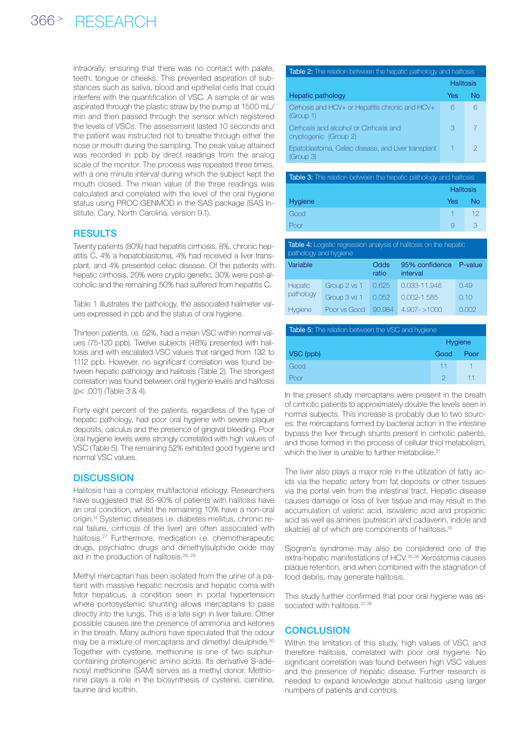intraorally, ensuring that there was no contact with palate, teeth, tongue or cheeks. This prevented aspiration of substances such as saliva, blood and epithelial cells that could interfere with the quantification of VSC. A sample of air was aspirated through the plastic straw by the pump at 1500 mL/ min and then passed through the sensor which registered the levels of VSCs. The assessment lasted 10 seconds and the patient was instructed not to breathe through either the nose or mouth during the sampling. The peak value attained was recorded in ppb by direct readings from the analog scale of the monitor. The process was repeated three times, with a one minute interval during which the subject kept the mouth closed. The mean value of the three readings was calculated and correlated with the level of the oral hygiene status using PROC GENMOD in the SAS package (SAS Institute, Cary, North Carolina, version 9.1).

## **RESULTS**

Twenty patients (80%) had hepatitis cirrhosis, 8%, chronic hepatitis C, 4% a hepatoblastoma, 4% had received a liver transplant, and 4% presented celiac disease. Of the patients with hepatic cirrhosis, 20% were crypto genetic, 30% were post-alcoholic and the remaining 50% had suffered from hepatitis C.

Table 1 illustrates the pathology, the associated halimeter values expressed in ppb and the status of oral hygiene.

Thirteen patients, i.e. 52%, had a mean VSC within normal values (75-120 ppb). Twelve subjects (48%) presented with halitosis and with escalated VSC values that ranged from 132 to 1112 ppb. However, no significant correlation was found between hepatic pathology and halitosis (Table 2). The strongest correlation was found between oral hygiene levels and halitosis (p< .001) (Table 3 & 4).

Forty eight percent of the patients, regardless of the type of hepatic pathology, had poor oral hygiene with severe plaque deposits, calculus and the presence of gingival bleeding. Poor oral hygiene levels were strongly correlated with high values of VSC (Table 5). The remaining 52% exhibited good hygiene and normal VSC values.

## **DISCUSSION**

Halitosis has a complex multifactorial etiology. Researchers have suggested that 85-90% of patients with halitosis have an oral condition, whilst the remaining 10% have a non-oral origin.14 Systemic diseases i.e. diabetes mellitus, chronic renal failure, cirrhosis of the liver) are often associated with halitosis.27 Furthermore, medication i.e. chemotherapeutic drugs, psychiatric drugs and dimethylsulphide oxide may aid in the production of halitosis.<sup>28, 29</sup>

Methyl mercaptan has been isolated from the urine of a patient with massive hepatic necrosis and hepatic coma with fetor hepaticus, a condition seen in portal hypertension where portosystemic shunting allows mercaptans to pass directly into the lungs. This is a late sign in liver failure. Other possible causes are the presence of ammonia and ketones in the breath. Many authors have speculated that the odour may be a mixture of mercaptans and dimethyl disulphide.<sup>30</sup> Together with cysteine, methionine is one of two sulphurcontaining proteinogenic amino acids. Its derivative S-adenosyl methionine (SAM) serves as a methyl donor. Methionine plays a role in the biosynthesis of cysteine, carnitine, taurine and lecithin.

| Table 2: The relation between the hepatic pathology and halitosis |           |    |
|-------------------------------------------------------------------|-----------|----|
|                                                                   | Halitosis |    |
| Hepatic pathology                                                 | Yes       | Nο |
| Cirrhosis and HCV+ or Hepatitis chronic and HCV+<br>(Group 1)     | 6         | 6  |
| Cirrhosis and alcohol or Cirrhosis and<br>cryptogenic (Group 2)   | З         |    |
| Epatoblastoma, Celiac disease, and Liver transplant<br>(Group 3)  |           | 2  |

| <b>Table 3:</b> The relation between the hepatic pathology and halitosis |                  |    |  |
|--------------------------------------------------------------------------|------------------|----|--|
|                                                                          | <b>Halitosis</b> |    |  |
| <b>Hygiene</b>                                                           | <b>Yes</b>       | N٥ |  |
| Good                                                                     |                  | 12 |  |
| Poor                                                                     |                  |    |  |

| <b>Table 4:</b> Logistic regression analysis of halitosis on the hepatic<br>pathology and hygiene |              |               |                            |         |
|---------------------------------------------------------------------------------------------------|--------------|---------------|----------------------------|---------|
| Variable                                                                                          |              | Odds<br>ratio | 95% confidence<br>interval | P-value |
| <b>Hepatic</b>                                                                                    | Group 2 vs 1 | 0.625         | 0.033-11.946               | 0.49    |
| pathology                                                                                         | Group 3 vs 1 | 0.052         | $0.002 - 1.585$            | 0.10    |
| Hygiene                                                                                           | Poor vs Good | 90.984        | $4.907 - 1000$             | റ ററാ   |

| <b>Table 5:</b> The relation between the VSC and hygiene |         |      |  |
|----------------------------------------------------------|---------|------|--|
|                                                          | Hygiene |      |  |
| VSC (ppb)                                                | Good    | Poor |  |
| Good                                                     | $11 -$  |      |  |
| Poor                                                     |         |      |  |

In the present study mercaptans were present in the breath of cirrhotic patients to approximately double the levels seen in normal subjects. This increase is probably due to two sources: the mercaptans formed by bacterial action in the intestine bypass the liver through shunts present in cirrhotic patients, and those formed in the process of cellular thiol metabolism, which the liver is unable to further metabolise.<sup>31</sup>

The liver also plays a major role in the utilization of fatty acids via the hepatic artery from fat deposits or other tissues via the portal vein from the intestinal tract. Hepatic disease causes damage or loss of liver tissue and may result in the accumulation of valeric acid, isovaleric acid and propionic acid as well as amines (putrescin and cadaverin, indole and skatole) all of which are components of halitosis.<sup>16</sup>

Sjogren's syndrome may also be considered one of the extra-hepatic manifestations of HCV.<sup>35,36</sup> Xerostomia causes plaque retention, and when combined with the stagnation of food debris, may generate halitosis.

This study further confirmed that poor oral hygiene was associated with halitosis. 37,38

## **CONCLUSION**

Within the limitation of this study, high values of VSC, and therefore halitosis, correlated with poor oral hygiene. No significant correlation was found between high VSC values and the presence of hepatic disease. Further research is needed to expand knowledge about halitosis using larger numbers of patients and controls.